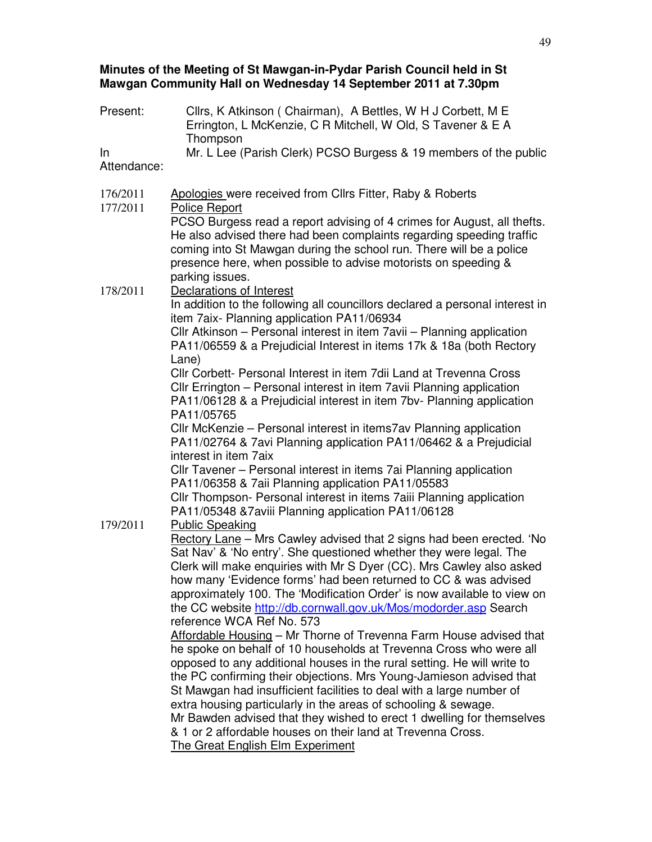### **Minutes of the Meeting of St Mawgan-in-Pydar Parish Council held in St Mawgan Community Hall on Wednesday 14 September 2011 at 7.30pm**

| Present:             | Cllrs, K Atkinson (Chairman), A Bettles, W H J Corbett, M E<br>Errington, L McKenzie, C R Mitchell, W Old, S Tavener & E A<br>Thompson                                                                                                                                                                                                                                                                                                                            |
|----------------------|-------------------------------------------------------------------------------------------------------------------------------------------------------------------------------------------------------------------------------------------------------------------------------------------------------------------------------------------------------------------------------------------------------------------------------------------------------------------|
| In<br>Attendance:    | Mr. L Lee (Parish Clerk) PCSO Burgess & 19 members of the public                                                                                                                                                                                                                                                                                                                                                                                                  |
| 176/2011<br>177/2011 | Apologies were received from Cllrs Fitter, Raby & Roberts<br><b>Police Report</b>                                                                                                                                                                                                                                                                                                                                                                                 |
|                      | PCSO Burgess read a report advising of 4 crimes for August, all thefts.<br>He also advised there had been complaints regarding speeding traffic<br>coming into St Mawgan during the school run. There will be a police<br>presence here, when possible to advise motorists on speeding &<br>parking issues.                                                                                                                                                       |
| 178/2011             | Declarations of Interest<br>In addition to the following all councillors declared a personal interest in<br>item 7aix- Planning application PA11/06934<br>CIIr Atkinson – Personal interest in item 7avii – Planning application                                                                                                                                                                                                                                  |
|                      | PA11/06559 & a Prejudicial Interest in items 17k & 18a (both Rectory<br>Lane)                                                                                                                                                                                                                                                                                                                                                                                     |
|                      | Cllr Corbett- Personal Interest in item 7dii Land at Trevenna Cross<br>CIIr Errington - Personal interest in item 7avii Planning application<br>PA11/06128 & a Prejudicial interest in item 7bv- Planning application<br>PA11/05765                                                                                                                                                                                                                               |
|                      | CIIr McKenzie – Personal interest in items7av Planning application<br>PA11/02764 & 7avi Planning application PA11/06462 & a Prejudicial<br>interest in item 7aix                                                                                                                                                                                                                                                                                                  |
|                      | CIIr Tavener – Personal interest in items 7ai Planning application<br>PA11/06358 & 7aii Planning application PA11/05583                                                                                                                                                                                                                                                                                                                                           |
| 179/2011             | CIIr Thompson- Personal interest in items 7aiii Planning application<br>PA11/05348 & 7 aviii Planning application PA11/06128<br><b>Public Speaking</b>                                                                                                                                                                                                                                                                                                            |
|                      | Rectory Lane - Mrs Cawley advised that 2 signs had been erected. 'No<br>Sat Nav' & 'No entry'. She questioned whether they were legal. The<br>Clerk will make enquiries with Mr S Dyer (CC). Mrs Cawley also asked<br>how many 'Evidence forms' had been returned to CC & was advised<br>approximately 100. The 'Modification Order' is now available to view on<br>the CC website http://db.cornwall.gov.uk/Mos/modorder.asp Search<br>reference WCA Ref No. 573 |
|                      | Affordable Housing - Mr Thorne of Trevenna Farm House advised that<br>he spoke on behalf of 10 households at Trevenna Cross who were all<br>opposed to any additional houses in the rural setting. He will write to                                                                                                                                                                                                                                               |
|                      | the PC confirming their objections. Mrs Young-Jamieson advised that<br>St Mawgan had insufficient facilities to deal with a large number of<br>extra housing particularly in the areas of schooling & sewage.                                                                                                                                                                                                                                                     |
|                      | Mr Bawden advised that they wished to erect 1 dwelling for themselves<br>& 1 or 2 affordable houses on their land at Trevenna Cross.                                                                                                                                                                                                                                                                                                                              |
|                      | <b>The Great English Elm Experiment</b>                                                                                                                                                                                                                                                                                                                                                                                                                           |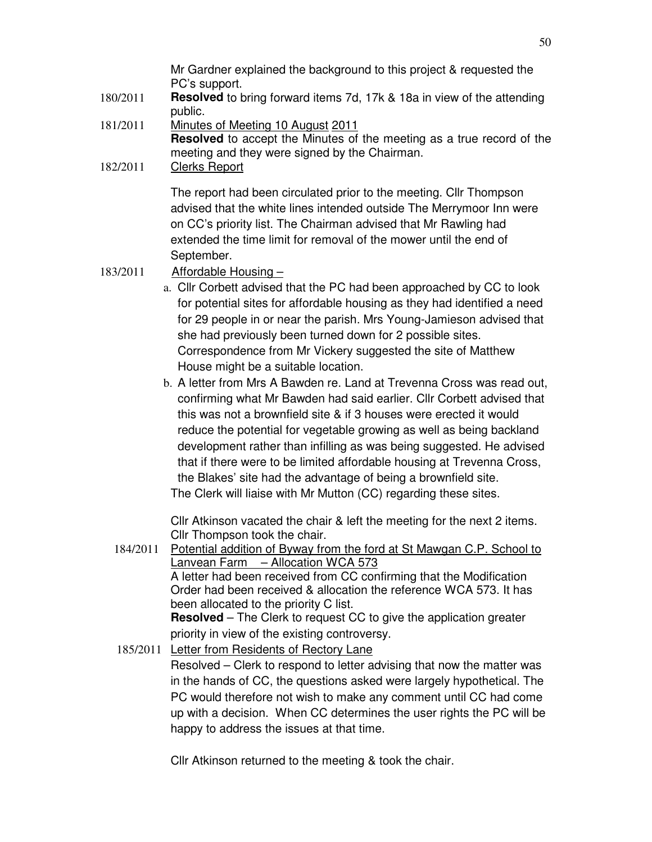Mr Gardner explained the background to this project & requested the PC's support.

- 180/2011 **Resolved** to bring forward items 7d, 17k & 18a in view of the attending public.
- 181/2011 Minutes of Meeting 10 August 2011 **Resolved** to accept the Minutes of the meeting as a true record of the meeting and they were signed by the Chairman.
- 182/2011 Clerks Report

The report had been circulated prior to the meeting. Cllr Thompson advised that the white lines intended outside The Merrymoor Inn were on CC's priority list. The Chairman advised that Mr Rawling had extended the time limit for removal of the mower until the end of September.

- 183/2011 Affordable Housing
	- a. Cllr Corbett advised that the PC had been approached by CC to look for potential sites for affordable housing as they had identified a need for 29 people in or near the parish. Mrs Young-Jamieson advised that she had previously been turned down for 2 possible sites. Correspondence from Mr Vickery suggested the site of Matthew House might be a suitable location.
	- b. A letter from Mrs A Bawden re. Land at Trevenna Cross was read out, confirming what Mr Bawden had said earlier. Cllr Corbett advised that this was not a brownfield site & if 3 houses were erected it would reduce the potential for vegetable growing as well as being backland development rather than infilling as was being suggested. He advised that if there were to be limited affordable housing at Trevenna Cross, the Blakes' site had the advantage of being a brownfield site.

The Clerk will liaise with Mr Mutton (CC) regarding these sites.

Cllr Atkinson vacated the chair & left the meeting for the next 2 items. Cllr Thompson took the chair.

184/2011 Potential addition of Byway from the ford at St Mawgan C.P. School to Lanvean Farm – Allocation WCA 573 A letter had been received from CC confirming that the Modification Order had been received & allocation the reference WCA 573. It has been allocated to the priority C list.

**Resolved** – The Clerk to request CC to give the application greater priority in view of the existing controversy.

185/2011 Letter from Residents of Rectory Lane Resolved – Clerk to respond to letter advising that now the matter was in the hands of CC, the questions asked were largely hypothetical. The PC would therefore not wish to make any comment until CC had come up with a decision. When CC determines the user rights the PC will be happy to address the issues at that time.

Cllr Atkinson returned to the meeting & took the chair.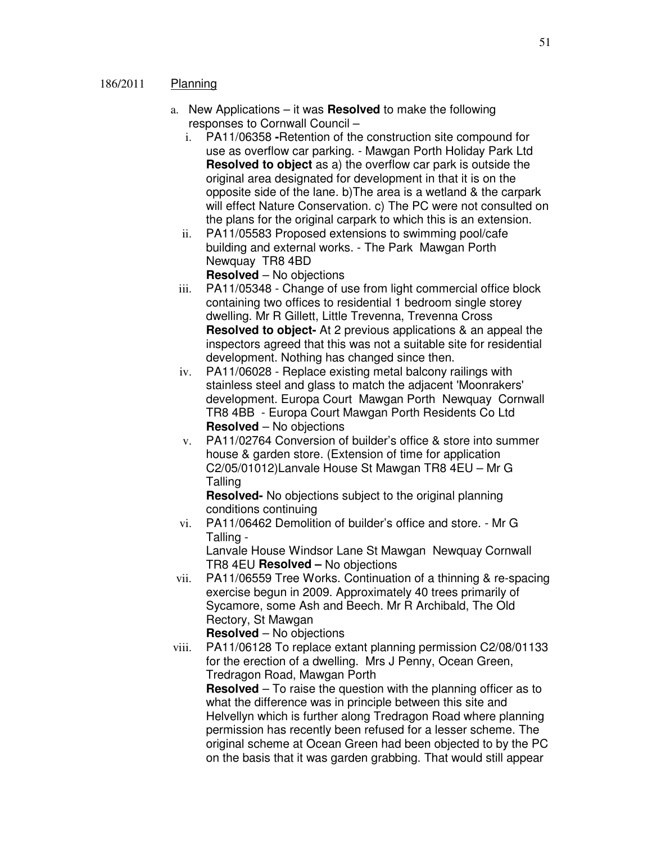#### 186/2011 Planning

- a. New Applications it was **Resolved** to make the following responses to Cornwall Council –
	- i. PA11/06358 **-**Retention of the construction site compound for use as overflow car parking. - Mawgan Porth Holiday Park Ltd **Resolved to object** as a) the overflow car park is outside the original area designated for development in that it is on the opposite side of the lane. b)The area is a wetland & the carpark will effect Nature Conservation. c) The PC were not consulted on the plans for the original carpark to which this is an extension.
	- ii. PA11/05583 Proposed extensions to swimming pool/cafe building and external works. - The Park Mawgan Porth Newquay TR8 4BD

**Resolved** – No objections

- iii. PA11/05348 Change of use from light commercial office block containing two offices to residential 1 bedroom single storey dwelling. Mr R Gillett, Little Trevenna, Trevenna Cross **Resolved to object-** At 2 previous applications & an appeal the inspectors agreed that this was not a suitable site for residential development. Nothing has changed since then.
- iv. PA11/06028 Replace existing metal balcony railings with stainless steel and glass to match the adjacent 'Moonrakers' development. Europa Court Mawgan Porth Newquay Cornwall TR8 4BB - Europa Court Mawgan Porth Residents Co Ltd **Resolved** – No objections
- v. PA11/02764 Conversion of builder's office & store into summer house & garden store. (Extension of time for application C2/05/01012)Lanvale House St Mawgan TR8 4EU – Mr G Talling

**Resolved-** No objections subject to the original planning conditions continuing

vi. PA11/06462 Demolition of builder's office and store. - Mr G Talling - Lanvale House Windsor Lane St Mawgan Newquay Cornwall

TR8 4EU **Resolved –** No objections

vii. PA11/06559 Tree Works. Continuation of a thinning & re-spacing exercise begun in 2009. Approximately 40 trees primarily of Sycamore, some Ash and Beech. Mr R Archibald, The Old Rectory, St Mawgan

**Resolved** – No objections

viii. PA11/06128 To replace extant planning permission C2/08/01133 for the erection of a dwelling. Mrs J Penny, Ocean Green, Tredragon Road, Mawgan Porth

**Resolved** – To raise the question with the planning officer as to what the difference was in principle between this site and Helvellyn which is further along Tredragon Road where planning permission has recently been refused for a lesser scheme. The original scheme at Ocean Green had been objected to by the PC on the basis that it was garden grabbing. That would still appear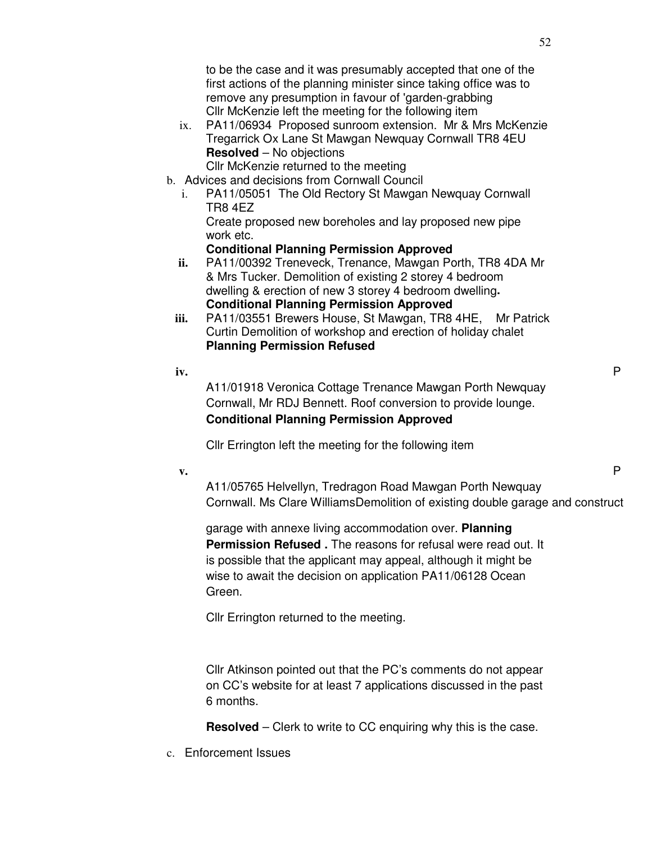to be the case and it was presumably accepted that one of the first actions of the planning minister since taking office was to remove any presumption in favour of 'garden-grabbing Cllr McKenzie left the meeting for the following item

- ix. PA11/06934 Proposed sunroom extension. Mr & Mrs McKenzie Tregarrick Ox Lane St Mawgan Newquay Cornwall TR8 4EU **Resolved** – No objections
	- Cllr McKenzie returned to the meeting
- b. Advices and decisions from Cornwall Council
	- i. PA11/05051 The Old Rectory St Mawgan Newquay Cornwall TR8 4EZ Create proposed new boreholes and lay proposed new pipe work etc.

# **Conditional Planning Permission Approved**

- **ii.** PA11/00392 Treneveck, Trenance, Mawgan Porth, TR8 4DA Mr & Mrs Tucker. Demolition of existing 2 storey 4 bedroom dwelling & erection of new 3 storey 4 bedroom dwelling**. Conditional Planning Permission Approved**
- **iii.** PA11/03551 Brewers House, St Mawgan, TR8 4HE, Mr Patrick Curtin Demolition of workshop and erection of holiday chalet **Planning Permission Refused**
- **iv.** P

A11/01918 Veronica Cottage Trenance Mawgan Porth Newquay Cornwall, Mr RDJ Bennett. Roof conversion to provide lounge. **Conditional Planning Permission Approved** 

Cllr Errington left the meeting for the following item

**v.** P

A11/05765 Helvellyn, Tredragon Road Mawgan Porth Newquay Cornwall. Ms Clare WilliamsDemolition of existing double garage and construct

garage with annexe living accommodation over. **Planning Permission Refused.** The reasons for refusal were read out. It is possible that the applicant may appeal, although it might be wise to await the decision on application PA11/06128 Ocean Green.

Cllr Errington returned to the meeting.

Cllr Atkinson pointed out that the PC's comments do not appear on CC's website for at least 7 applications discussed in the past 6 months.

**Resolved** – Clerk to write to CC enquiring why this is the case.

c. Enforcement Issues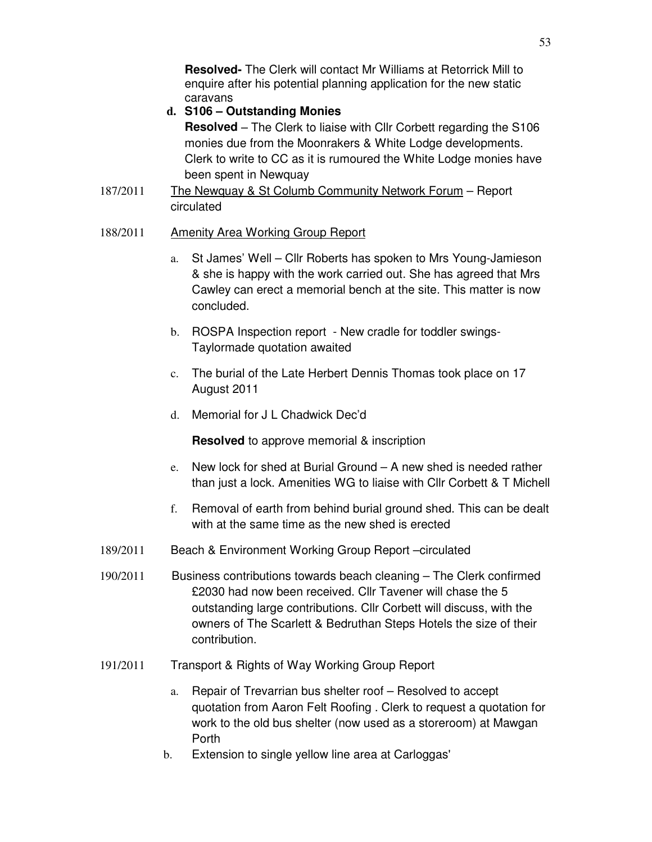**Resolved-** The Clerk will contact Mr Williams at Retorrick Mill to enquire after his potential planning application for the new static caravans

# **d. S106 – Outstanding Monies**

**Resolved** – The Clerk to liaise with Cllr Corbett regarding the S106 monies due from the Moonrakers & White Lodge developments. Clerk to write to CC as it is rumoured the White Lodge monies have been spent in Newquay

187/2011 The Newquay & St Columb Community Network Forum – Report circulated

## 188/2011 Amenity Area Working Group Report

- a. St James' Well Cllr Roberts has spoken to Mrs Young-Jamieson & she is happy with the work carried out. She has agreed that Mrs Cawley can erect a memorial bench at the site. This matter is now concluded.
- b. ROSPA Inspection report New cradle for toddler swings-Taylormade quotation awaited
- c. The burial of the Late Herbert Dennis Thomas took place on 17 August 2011
- d. Memorial for J L Chadwick Dec'd

**Resolved** to approve memorial & inscription

- e. New lock for shed at Burial Ground A new shed is needed rather than just a lock. Amenities WG to liaise with Cllr Corbett & T Michell
- f. Removal of earth from behind burial ground shed. This can be dealt with at the same time as the new shed is erected
- 189/2011 Beach & Environment Working Group Report –circulated
- 190/2011 Business contributions towards beach cleaning The Clerk confirmed £2030 had now been received. Cllr Tavener will chase the 5 outstanding large contributions. Cllr Corbett will discuss, with the owners of The Scarlett & Bedruthan Steps Hotels the size of their contribution.
- 191/2011 Transport & Rights of Way Working Group Report
	- a. Repair of Trevarrian bus shelter roof Resolved to accept quotation from Aaron Felt Roofing . Clerk to request a quotation for work to the old bus shelter (now used as a storeroom) at Mawgan Porth
	- b. Extension to single yellow line area at Carloggas'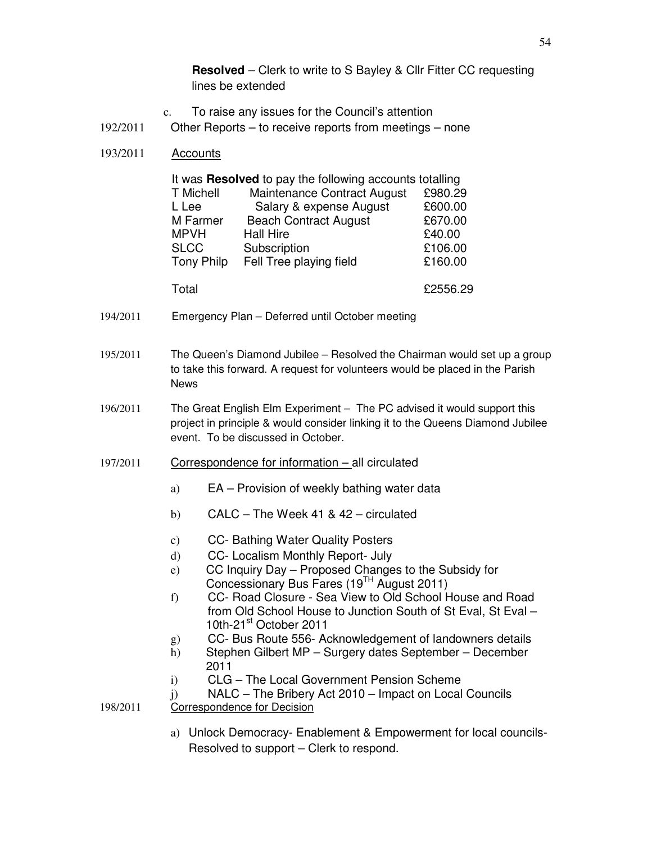**Resolved** – Clerk to write to S Bayley & Cllr Fitter CC requesting lines be extended

- c. To raise any issues for the Council's attention
- 192/2011 Other Reports to receive reports from meetings none
- 193/2011 Accounts

| It was Resolved to pay the following accounts totalling |                              |          |  |
|---------------------------------------------------------|------------------------------|----------|--|
| T Michell                                               | Maintenance Contract August  | £980.29  |  |
| L Lee                                                   | Salary & expense August      | £600.00  |  |
| M Farmer                                                | <b>Beach Contract August</b> | £670.00  |  |
| <b>MPVH</b>                                             | <b>Hall Hire</b>             | £40.00   |  |
| <b>SLCC</b>                                             | Subscription                 | £106.00  |  |
| <b>Tony Philp</b>                                       | Fell Tree playing field      | £160.00  |  |
|                                                         |                              |          |  |
| Total                                                   |                              | £2556.29 |  |

- 194/2011 Emergency Plan Deferred until October meeting
- 195/2011 The Queen's Diamond Jubilee Resolved the Chairman would set up a group to take this forward. A request for volunteers would be placed in the Parish News
- 196/2011 The Great English Elm Experiment The PC advised it would support this project in principle & would consider linking it to the Queens Diamond Jubilee event. To be discussed in October.
- 197/2011 Correspondence for information all circulated
	- a) EA Provision of weekly bathing water data
	- b) CALC The Week 41 & 42 circulated
	- c) CC- Bathing Water Quality Posters
	- d) CC- Localism Monthly Report- July
	- e) CC Inquiry Day Proposed Changes to the Subsidy for Concessionary Bus Fares (19TH August 2011)
	- f) CC- Road Closure Sea View to Old School House and Road from Old School House to Junction South of St Eval, St Eval – 10th-21<sup>st</sup> October 2011
	- g) CC- Bus Route 556- Acknowledgement of landowners details
	- h) Stephen Gilbert MP Surgery dates September December 2011
	- i) CLG The Local Government Pension Scheme
	- j) NALC The Bribery Act 2010 Impact on Local Councils
- 198/2011 Correspondence for Decision
	- a) Unlock Democracy- Enablement & Empowerment for local councils-Resolved to support – Clerk to respond.